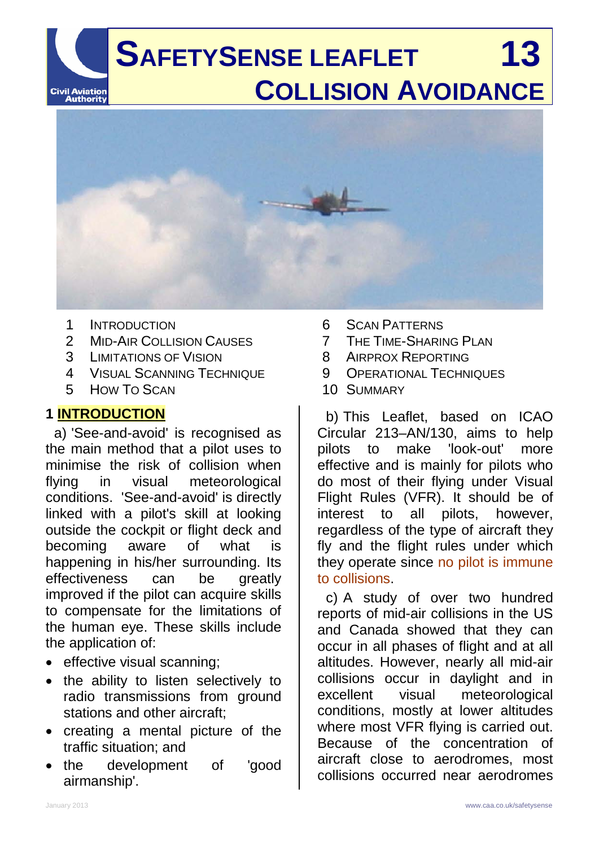# **SAFETYSENSE LEAFLET 13 COLLISION AVOIDANCE** Civil Aviation<br>Authority



- 1 INTRODUCTION
- 2 MID-AIR COLLISION CAUSES
- 3 LIMITATIONS OF VISION
- 4 VISUAL SCANNING TECHNIQUE
- 5 HOW TO SCAN

## **1 INTRODUCTION**

a) 'See-and-avoid' is recognised as the main method that a pilot uses to minimise the risk of collision when flying in visual meteorological conditions. 'See-and-avoid' is directly linked with a pilot's skill at looking outside the cockpit or flight deck and becoming aware of what is happening in his/her surrounding. Its effectiveness can be greatly improved if the pilot can acquire skills to compensate for the limitations of the human eye. These skills include the application of:

- effective visual scanning;
- the ability to listen selectively to radio transmissions from ground stations and other aircraft;
- creating a mental picture of the traffic situation; and
- the development of 'good airmanship'.
- 6 SCAN PATTERNS
- 7 THE TIME-SHARING PLAN
- 8 AIRPROX REPORTING
- 9 OPERATIONAL TECHNIQUES
- 10 SUMMARY

b) This Leaflet, based on ICAO Circular 213–AN/130, aims to help pilots to make 'look-out' more effective and is mainly for pilots who do most of their flying under Visual Flight Rules (VFR). It should be of interest to all pilots, however, regardless of the type of aircraft they fly and the flight rules under which they operate since no pilot is immune to collisions.

c) A study of over two hundred reports of mid-air collisions in the US and Canada showed that they can occur in all phases of flight and at all altitudes. However, nearly all mid-air collisions occur in daylight and in excellent visual meteorological conditions, mostly at lower altitudes where most VFR flying is carried out. Because of the concentration of aircraft close to aerodromes, most collisions occurred near aerodromes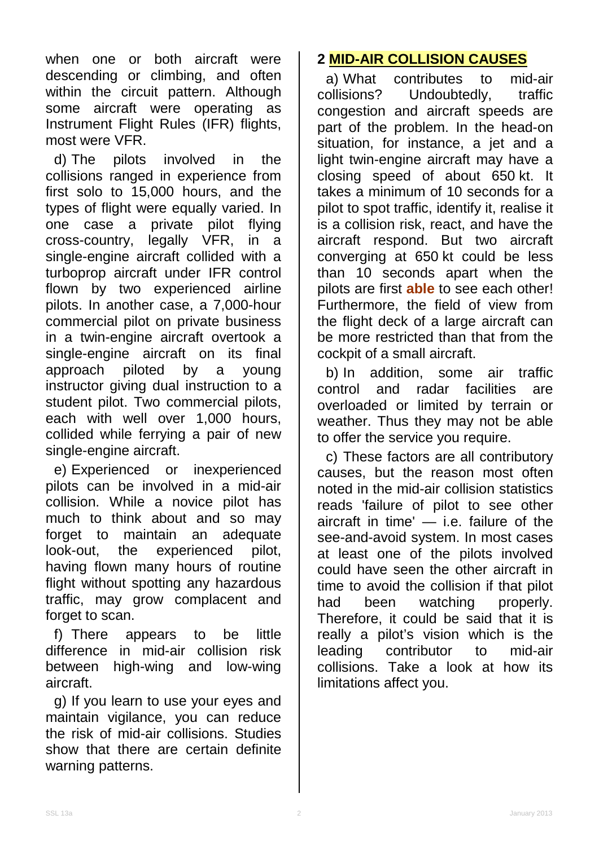when one or both aircraft were descending or climbing, and often within the circuit pattern. Although some aircraft were operating as Instrument Flight Rules (IFR) flights, most were VFR.

d) The pilots involved in the collisions ranged in experience from first solo to 15,000 hours, and the types of flight were equally varied. In one case a private pilot flying<br>cross-country. legally VFR in a cross-country, legally VFR, single-engine aircraft collided with a turboprop aircraft under IFR control flown by two experienced airline pilots. In another case, a 7,000-hour commercial pilot on private business in a twin-engine aircraft overtook a single-engine aircraft on its final<br>approach piloted by a young approach piloted by a young instructor giving dual instruction to a student pilot. Two commercial pilots, each with well over 1,000 hours, collided while ferrying a pair of new single-engine aircraft.

e) Experienced or inexperienced pilots can be involved in a mid-air collision. While a novice pilot has much to think about and so may forget to maintain an adequate look-out, the experienced pilot, having flown many hours of routine flight without spotting any hazardous traffic, may grow complacent and forget to scan.

f) There appears to be little difference in mid-air collision risk between high-wing and low-wing aircraft.

g) If you learn to use your eyes and maintain vigilance, you can reduce the risk of mid-air collisions. Studies show that there are certain definite warning patterns.

# **2 MID-AIR COLLISION CAUSES**

a) What contributes to mid-air<br>collisions? Undoubtedly. traffic Undoubtedly. congestion and aircraft speeds are part of the problem. In the head-on situation, for instance, a jet and a light twin-engine aircraft may have a closing speed of about 650 kt. It takes a minimum of 10 seconds for a pilot to spot traffic, identify it, realise it is a collision risk, react, and have the aircraft respond. But two aircraft converging at 650 kt could be less than 10 seconds apart when the pilots are first **able** to see each other! Furthermore, the field of view from the flight deck of a large aircraft can be more restricted than that from the cockpit of a small aircraft.

b) In addition, some air traffic control and radar facilities are overloaded or limited by terrain or weather. Thus they may not be able to offer the service you require.

c) These factors are all contributory causes, but the reason most often noted in the mid-air collision statistics reads 'failure of pilot to see other aircraft in time' — i.e. failure of the see-and-avoid system. In most cases at least one of the pilots involved could have seen the other aircraft in time to avoid the collision if that pilot had been watching properly. Therefore, it could be said that it is really a pilot's vision which is the leading contributor to mid-air collisions. Take a look at how its limitations affect you.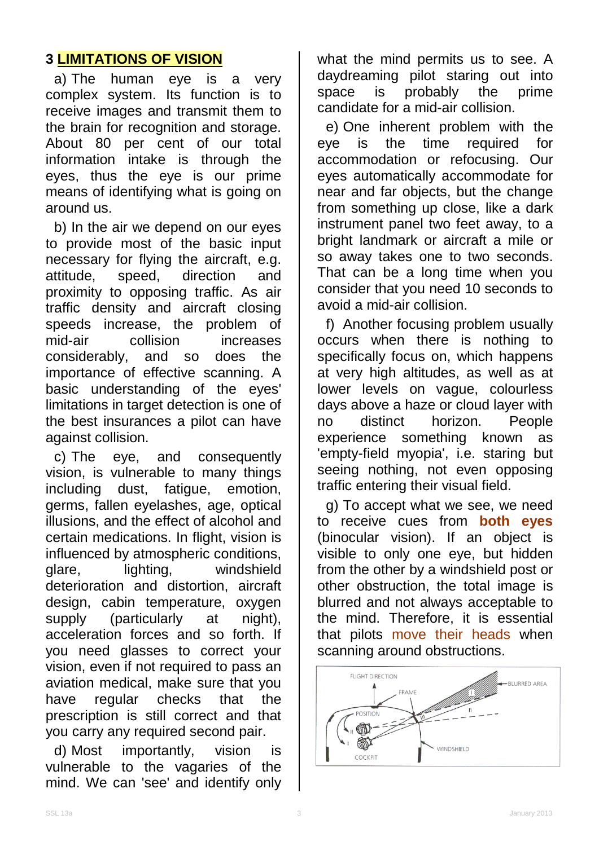# **3 LIMITATIONS OF VISION**

a) The human eye is a very complex system. Its function is to receive images and transmit them to the brain for recognition and storage. About 80 per cent of our total information intake is through the eyes, thus the eye is our prime means of identifying what is going on around us.

b) In the air we depend on our eyes to provide most of the basic input necessary for flying the aircraft, e.g.<br>attitude, speed, direction and attitude, speed, direction proximity to opposing traffic. As air traffic density and aircraft closing speeds increase, the problem of mid-air collision increases considerably, and so does the importance of effective scanning. A basic understanding of the eyes' limitations in target detection is one of the best insurances a pilot can have against collision.

c) The eye, and consequently vision, is vulnerable to many things including dust, fatigue, emotion, germs, fallen eyelashes, age, optical illusions, and the effect of alcohol and certain medications. In flight, vision is influenced by atmospheric conditions, glare, lighting, windshield deterioration and distortion, aircraft design, cabin temperature, oxygen supply (particularly at night), acceleration forces and so forth. If you need glasses to correct your vision, even if not required to pass an aviation medical, make sure that you have regular checks that the prescription is still correct and that you carry any required second pair.

d) Most importantly, vision is vulnerable to the vagaries of the mind. We can 'see' and identify only

what the mind permits us to see. A daydreaming pilot staring out into space is probably the prime candidate for a mid-air collision.

e) One inherent problem with the eye is the time required for accommodation or refocusing. Our eyes automatically accommodate for near and far objects, but the change from something up close, like a dark instrument panel two feet away, to a bright landmark or aircraft a mile or so away takes one to two seconds. That can be a long time when you consider that you need 10 seconds to avoid a mid-air collision.

f) Another focusing problem usually occurs when there is nothing to specifically focus on, which happens at very high altitudes, as well as at lower levels on vague, colourless days above a haze or cloud layer with no distinct horizon. People experience something known as 'empty-field myopia', i.e. staring but seeing nothing, not even opposing traffic entering their visual field.

g) To accept what we see, we need to receive cues from **both eyes** (binocular vision). If an object is visible to only one eye, but hidden from the other by a windshield post or other obstruction, the total image is blurred and not always acceptable to the mind. Therefore, it is essential that pilots move their heads when scanning around obstructions.

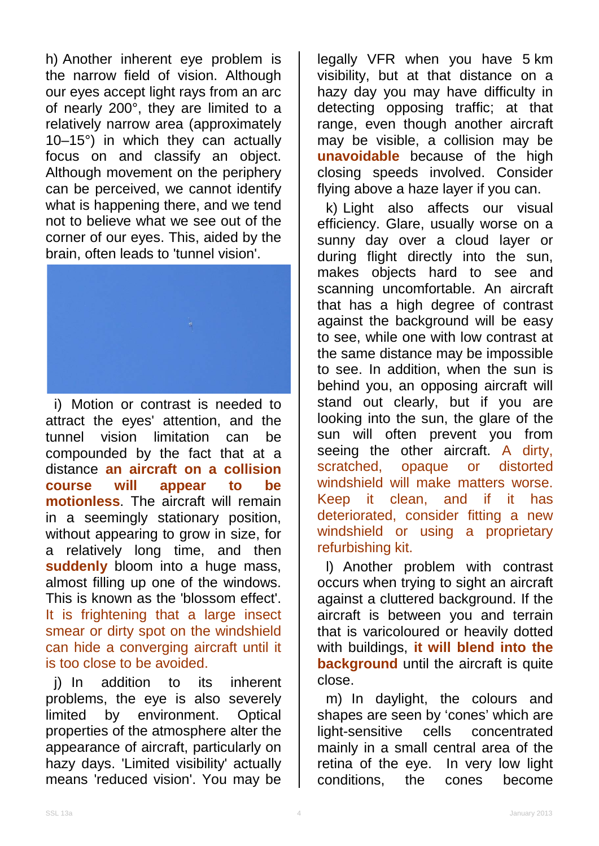h) Another inherent eye problem is the narrow field of vision. Although our eyes accept light rays from an arc of nearly 200°, they are limited to a relatively narrow area (approximately 10–15°) in which they can actually focus on and classify an object. Although movement on the periphery can be perceived, we cannot identify what is happening there, and we tend not to believe what we see out of the corner of our eyes. This, aided by the brain, often leads to 'tunnel vision'.



i) Motion or contrast is needed to attract the eyes' attention, and the<br>tunnel vision limitation can be tunnel vision limitation can be compounded by the fact that at a distance **an aircraft on a collision course will appear to be motionless**. The aircraft will remain in a seemingly stationary position, without appearing to grow in size, for a relatively long time, and then **suddenly** bloom into a huge mass, almost filling up one of the windows. This is known as the 'blossom effect'. It is frightening that a large insect smear or dirty spot on the windshield can hide a converging aircraft until it is too close to be avoided.

j) In addition to its inherent problems, the eye is also severely limited by environment. Optical properties of the atmosphere alter the appearance of aircraft, particularly on hazy days. 'Limited visibility' actually means 'reduced vision'. You may be

legally VFR when you have 5 km visibility, but at that distance on a hazy day you may have difficulty in detecting opposing traffic; at that range, even though another aircraft may be visible, a collision may be **unavoidable** because of the high closing speeds involved. Consider flying above a haze layer if you can.

k) Light also affects our visual efficiency. Glare, usually worse on a sunny day over a cloud layer or during flight directly into the sun, makes objects hard to see and scanning uncomfortable. An aircraft that has a high degree of contrast against the background will be easy to see, while one with low contrast at the same distance may be impossible to see. In addition, when the sun is behind you, an opposing aircraft will stand out clearly, but if you are looking into the sun, the glare of the sun will often prevent you from seeing the other aircraft. A dirty, scratched, opaque or distorted windshield will make matters worse. Keep it clean, and if it has deteriorated, consider fitting a new windshield or using a proprietary refurbishing kit.

l) Another problem with contrast occurs when trying to sight an aircraft against a cluttered background. If the aircraft is between you and terrain that is varicoloured or heavily dotted with buildings, **it will blend into the background** until the aircraft is quite close.

m) In daylight, the colours and shapes are seen by 'cones' which are light-sensitive cells concentrated mainly in a small central area of the retina of the eye. In very low light conditions, the cones become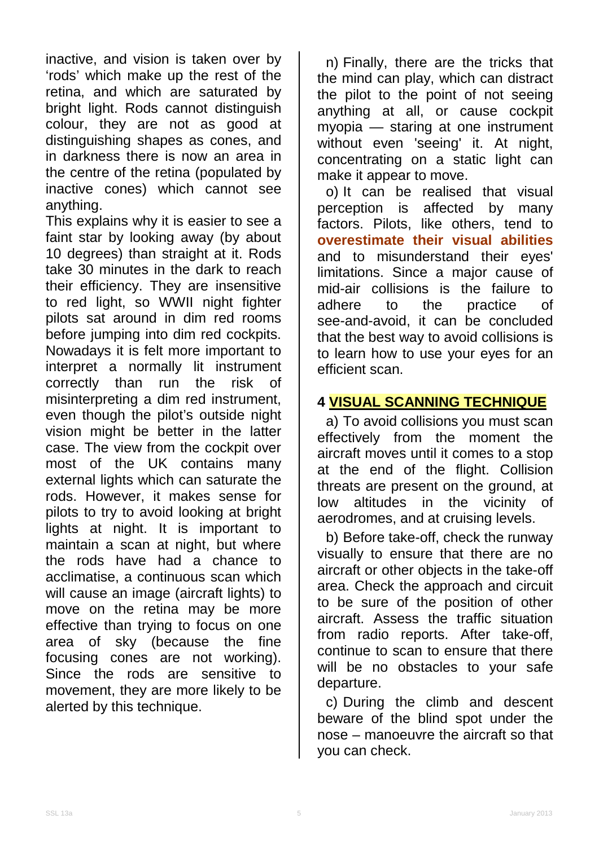inactive, and vision is taken over by 'rods' which make up the rest of the retina, and which are saturated by bright light. Rods cannot distinguish colour, they are not as good at distinguishing shapes as cones, and in darkness there is now an area in the centre of the retina (populated by inactive cones) which cannot see anything.

This explains why it is easier to see a faint star by looking away (by about 10 degrees) than straight at it. Rods take 30 minutes in the dark to reach their efficiency. They are insensitive to red light, so WWII night fighter pilots sat around in dim red rooms before jumping into dim red cockpits. Nowadays it is felt more important to interpret a normally lit instrument correctly than run the risk of misinterpreting a dim red instrument, even though the pilot's outside night vision might be better in the latter case. The view from the cockpit over most of the UK contains many external lights which can saturate the rods. However, it makes sense for pilots to try to avoid looking at bright lights at night. It is important to maintain a scan at night, but where the rods have had a chance to acclimatise, a continuous scan which will cause an image (aircraft lights) to move on the retina may be more effective than trying to focus on one area of sky (because the fine focusing cones are not working). Since the rods are sensitive to movement, they are more likely to be alerted by this technique.

n) Finally, there are the tricks that the mind can play, which can distract the pilot to the point of not seeing anything at all, or cause cockpit myopia — staring at one instrument without even 'seeing' it. At night, concentrating on a static light can make it appear to move.

o) It can be realised that visual perception is affected by many factors. Pilots, like others, tend to **overestimate their visual abilities** and to misunderstand their eyes' limitations. Since a major cause of mid-air collisions is the failure to<br>adhere to the practice of to the practice see-and-avoid, it can be concluded that the best way to avoid collisions is to learn how to use your eyes for an efficient scan.

## **4 VISUAL SCANNING TECHNIQUE**

a) To avoid collisions you must scan effectively from the moment the aircraft moves until it comes to a stop at the end of the flight. Collision threats are present on the ground, at low altitudes in the vicinity of aerodromes, and at cruising levels.

b) Before take-off, check the runway visually to ensure that there are no aircraft or other objects in the take-off area. Check the approach and circuit to be sure of the position of other aircraft. Assess the traffic situation from radio reports. After take-off, continue to scan to ensure that there will be no obstacles to your safe departure.

c) During the climb and descent beware of the blind spot under the nose – manoeuvre the aircraft so that you can check.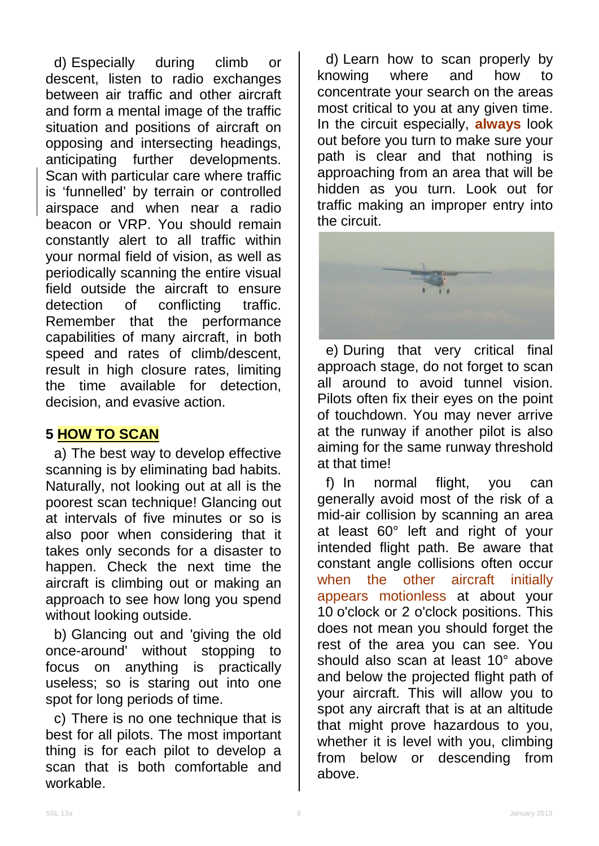d) Especially during climb or descent, listen to radio exchanges between air traffic and other aircraft and form a mental image of the traffic situation and positions of aircraft on opposing and intersecting headings, anticipating further developments. Scan with particular care where traffic is 'funnelled' by terrain or controlled airspace and when near a radio beacon or VRP. You should remain constantly alert to all traffic within your normal field of vision, as well as periodically scanning the entire visual field outside the aircraft to ensure<br>detection of conflicting traffic. detection of conflicting Remember that the performance capabilities of many aircraft, in both speed and rates of climb/descent, result in high closure rates, limiting the time available for detection, decision, and evasive action.

## **5 HOW TO SCAN**

a) The best way to develop effective scanning is by eliminating bad habits. Naturally, not looking out at all is the poorest scan technique! Glancing out at intervals of five minutes or so is also poor when considering that it takes only seconds for a disaster to happen. Check the next time the aircraft is climbing out or making an approach to see how long you spend without looking outside.

b) Glancing out and 'giving the old once-around' without stopping to focus on anything is practically useless; so is staring out into one spot for long periods of time.

c) There is no one technique that is best for all pilots. The most important thing is for each pilot to develop a scan that is both comfortable and workable.

d) Learn how to scan properly by<br>nowing where and how to knowing where and how to concentrate your search on the areas most critical to you at any given time. In the circuit especially, **always** look out before you turn to make sure your path is clear and that nothing is approaching from an area that will be hidden as you turn. Look out for traffic making an improper entry into the circuit.



e) During that very critical final approach stage, do not forget to scan all around to avoid tunnel vision. Pilots often fix their eyes on the point of touchdown. You may never arrive at the runway if another pilot is also aiming for the same runway threshold at that time!

f) In normal flight, you can generally avoid most of the risk of a mid-air collision by scanning an area at least 60° left and right of your intended flight path. Be aware that constant angle collisions often occur when the other aircraft initially appears motionless at about your 10 o'clock or 2 o'clock positions. This does not mean you should forget the rest of the area you can see. You should also scan at least 10° above and below the projected flight path of your aircraft. This will allow you to spot any aircraft that is at an altitude that might prove hazardous to you, whether it is level with you, climbing from below or descending from above.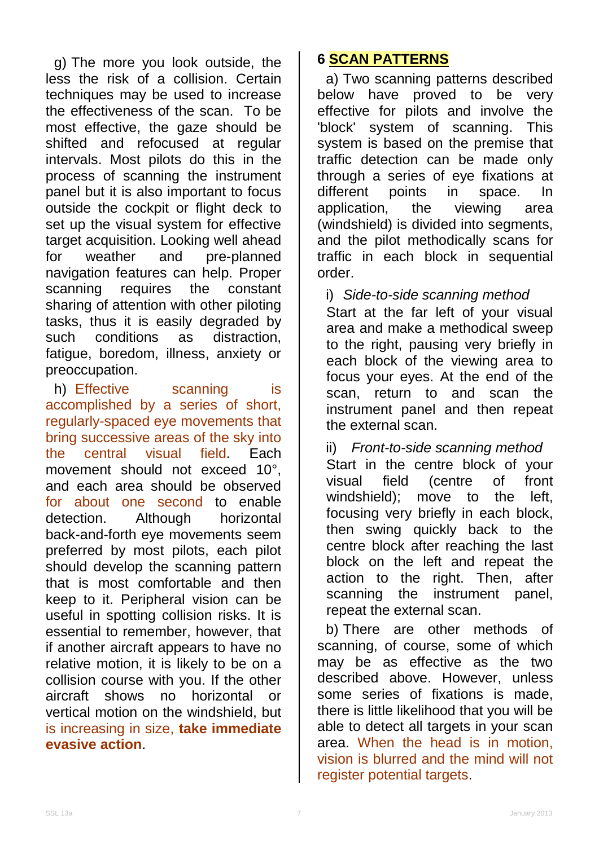g) The more you look outside, the less the risk of a collision. Certain techniques may be used to increase the effectiveness of the scan. To be most effective, the gaze should be shifted and refocused at regular intervals. Most pilots do this in the process of scanning the instrument panel but it is also important to focus outside the cockpit or flight deck to set up the visual system for effective target acquisition. Looking well ahead for weather and pre-planned navigation features can help. Proper scanning requires the constant sharing of attention with other piloting tasks, thus it is easily degraded by<br>such conditions as distraction. such conditions as distraction, fatigue, boredom, illness, anxiety or preoccupation.

h) Effective scanning is accomplished by a series of short, regularly-spaced eye movements that bring successive areas of the sky into the central visual field. Each movement should not exceed 10°, and each area should be observed for about one second to enable detection. Although horizontal back-and-forth eye movements seem preferred by most pilots, each pilot should develop the scanning pattern that is most comfortable and then keep to it. Peripheral vision can be useful in spotting collision risks. It is essential to remember, however, that if another aircraft appears to have no relative motion, it is likely to be on a collision course with you. If the other aircraft shows no horizontal or vertical motion on the windshield, but is increasing in size, **take immediate evasive action**.

## **6 SCAN PATTERNS**

a) Two scanning patterns described below have proved to be very effective for pilots and involve the 'block' system of scanning. This system is based on the premise that traffic detection can be made only through a series of eye fixations at different points in space. In application, the viewing area (windshield) is divided into segments, and the pilot methodically scans for traffic in each block in sequential order.

i) *Side-to-side scanning method*

Start at the far left of your visual area and make a methodical sweep to the right, pausing very briefly in each block of the viewing area to focus your eyes. At the end of the scan, return to and scan the instrument panel and then repeat the external scan.

ii) *Front-to-side scanning method* Start in the centre block of your visual field (centre of front windshield); move to the left, focusing very briefly in each block, then swing quickly back to the centre block after reaching the last block on the left and repeat the action to the right. Then, after scanning the instrument panel, repeat the external scan.

b) There are other methods of scanning, of course, some of which may be as effective as the two described above. However, unless some series of fixations is made, there is little likelihood that you will be able to detect all targets in your scan area. When the head is in motion, vision is blurred and the mind will not register potential targets.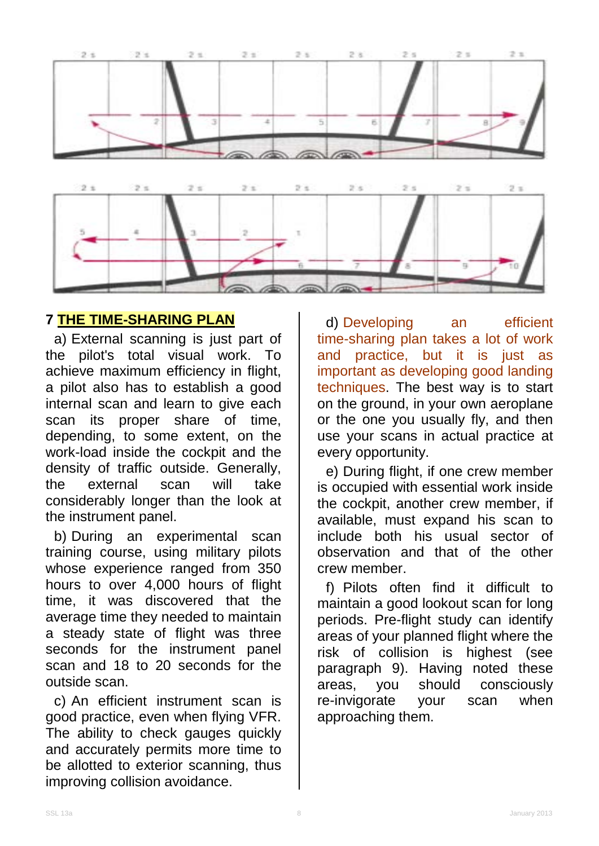

## **7 THE TIME-SHARING PLAN**

a) External scanning is just part of the pilot's total visual work. To achieve maximum efficiency in flight, a pilot also has to establish a good internal scan and learn to give each scan its proper share of time, depending, to some extent, on the work-load inside the cockpit and the density of traffic outside. Generally, the external scan will take considerably longer than the look at the instrument panel.

b) During an experimental scan training course, using military pilots whose experience ranged from 350 hours to over 4,000 hours of flight time, it was discovered that the average time they needed to maintain a steady state of flight was three seconds for the instrument panel scan and 18 to 20 seconds for the outside scan.

c) An efficient instrument scan is good practice, even when flying VFR. The ability to check gauges quickly and accurately permits more time to be allotted to exterior scanning, thus improving collision avoidance.

d) Developing an efficient time-sharing plan takes a lot of work and practice, but it is just as important as developing good landing techniques. The best way is to start on the ground, in your own aeroplane or the one you usually fly, and then use your scans in actual practice at every opportunity.

e) During flight, if one crew member is occupied with essential work inside the cockpit, another crew member, if available, must expand his scan to include both his usual sector of observation and that of the other crew member.

f) Pilots often find it difficult to maintain a good lookout scan for long periods. Pre-flight study can identify areas of your planned flight where the risk of collision is highest (see paragraph 9). Having noted these areas, you should consciously re-invigorate your scan when approaching them.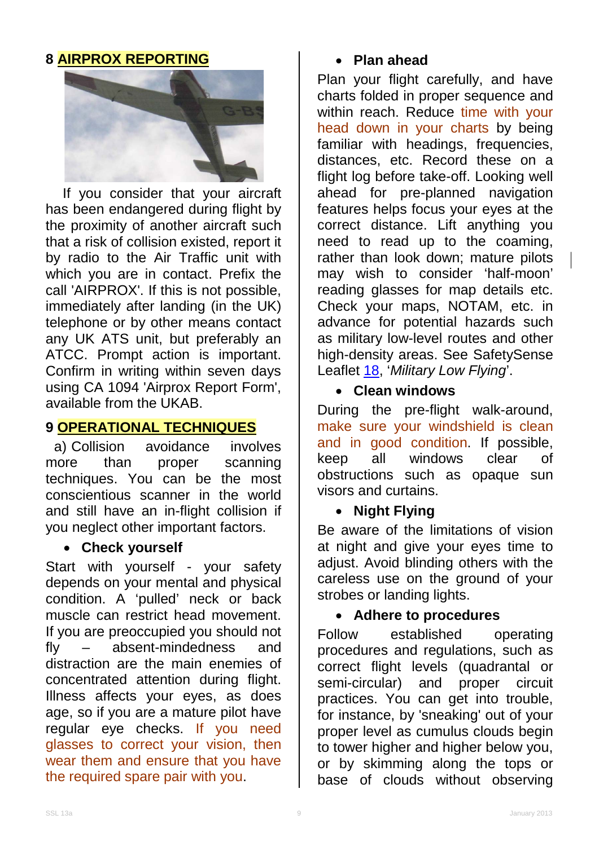## **8 AIRPROX REPORTING**



If you consider that your aircraft has been endangered during flight by the proximity of another aircraft such that a risk of collision existed, report it by radio to the Air Traffic unit with which you are in contact. Prefix the call 'AIRPROX'. If this is not possible, immediately after landing (in the UK) telephone or by other means contact any UK ATS unit, but preferably an ATCC. Prompt action is important. Confirm in writing within seven days using CA 1094 'Airprox Report Form', available from the UKAB.

## **9 OPERATIONAL TECHNIQUES**

a) Collision avoidance involves more than proper scanning techniques. You can be the most conscientious scanner in the world and still have an in-flight collision if you neglect other important factors.

#### • **Check yourself**

Start with yourself - your safety depends on your mental and physical condition. A 'pulled' neck or back muscle can restrict head movement. If you are preoccupied you should not fly – absent-mindedness and distraction are the main enemies of concentrated attention during flight. Illness affects your eyes, as does age, so if you are a mature pilot have regular eye checks. If you need glasses to correct your vision, then wear them and ensure that you have the required spare pair with you.

#### • **Plan ahead**

Plan your flight carefully, and have charts folded in proper sequence and within reach. Reduce time with your head down in your charts by being familiar with headings, frequencies, distances, etc. Record these on a flight log before take-off. Looking well ahead for pre-planned navigation features helps focus your eyes at the correct distance. Lift anything you need to read up to the coaming, rather than look down; mature pilots may wish to consider 'half-moon' reading glasses for map details etc. Check your maps, NOTAM, etc. in advance for potential hazards such as military low-level routes and other high-density areas. See SafetySense Leaflet [18,](http://www.caa.co.uk/safetysenseleaflet18) '*Military Low Flying*'.

#### • **Clean windows**

During the pre-flight walk-around, make sure your windshield is clean and in good condition. If possible, keep all windows clear of obstructions such as opaque sun visors and curtains.

## • **Night Flying**

Be aware of the limitations of vision at night and give your eyes time to adjust. Avoid blinding others with the careless use on the ground of your strobes or landing lights.

#### • **Adhere to procedures**

Follow established operating procedures and regulations, such as correct flight levels (quadrantal or<br>semi-circular) and proper circuit semi-circular) and proper circuit practices. You can get into trouble, for instance, by 'sneaking' out of your proper level as cumulus clouds begin to tower higher and higher below you, or by skimming along the tops or base of clouds without observing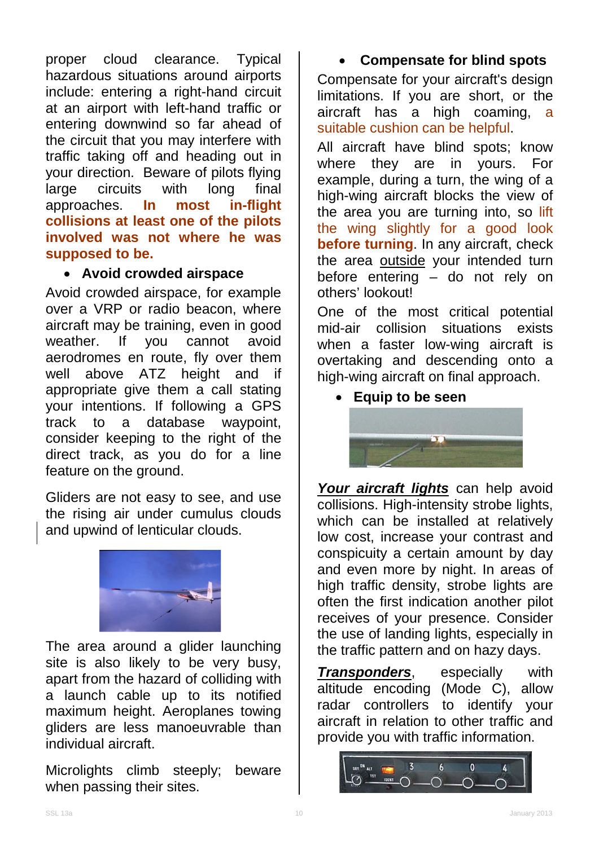proper cloud clearance. Typical hazardous situations around airports include: entering a right-hand circuit at an airport with left-hand traffic or entering downwind so far ahead of the circuit that you may interfere with traffic taking off and heading out in your direction. Beware of pilots flying<br>large circuits with long final large circuits with long final approaches. **In most in-flight collisions at least one of the pilots involved was not where he was supposed to be.**

#### • **Avoid crowded airspace**

Avoid crowded airspace, for example over a VRP or radio beacon, where aircraft may be training, even in good weather. If you cannot avoid aerodromes en route, fly over them well above ATZ height and if appropriate give them a call stating your intentions. If following a GPS track to a database waypoint, consider keeping to the right of the direct track, as you do for a line feature on the ground.

Gliders are not easy to see, and use the rising air under cumulus clouds and upwind of lenticular clouds.



The area around a glider launching site is also likely to be very busy, apart from the hazard of colliding with a launch cable up to its notified maximum height. Aeroplanes towing gliders are less manoeuvrable than individual aircraft.

Microlights climb steeply; beware when passing their sites.

#### • **Compensate for blind spots** Compensate for your aircraft's design limitations. If you are short, or the aircraft has a high coaming, a

suitable cushion can be helpful.

All aircraft have blind spots; know where they are in yours. For example, during a turn, the wing of a high-wing aircraft blocks the view of the area you are turning into, so lift the wing slightly for a good look **before turning**. In any aircraft, check the area **outside** your intended turn before entering – do not rely on others' lookout!

One of the most critical potential mid-air collision situations exists when a faster low-wing aircraft is overtaking and descending onto a high-wing aircraft on final approach.

• **Equip to be seen**



*Your aircraft lights* can help avoid collisions. High-intensity strobe lights, which can be installed at relatively low cost, increase your contrast and conspicuity a certain amount by day and even more by night. In areas of high traffic density, strobe lights are often the first indication another pilot receives of your presence. Consider the use of landing lights, especially in the traffic pattern and on hazy days.

*Transponders*, especially with altitude encoding (Mode C), allow radar controllers to identify your aircraft in relation to other traffic and provide you with traffic information.

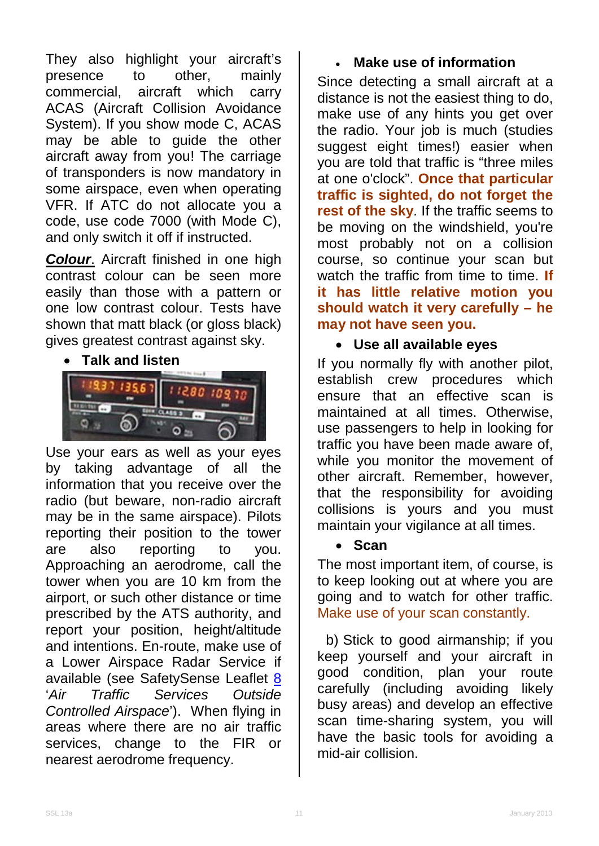They also highlight your aircraft's<br>presence to other, mainly presence to other, mainly commercial, aircraft which carry ACAS (Aircraft Collision Avoidance System). If you show mode C, ACAS may be able to guide the other aircraft away from you! The carriage of transponders is now mandatory in some airspace, even when operating VFR. If ATC do not allocate you a code, use code 7000 (with Mode C), and only switch it off if instructed.

*Colour*. Aircraft finished in one high contrast colour can be seen more easily than those with a pattern or one low contrast colour. Tests have shown that matt black (or gloss black) gives greatest contrast against sky.

#### • **Talk and listen**



Use your ears as well as your eyes by taking advantage of all the information that you receive over the radio (but beware, non-radio aircraft may be in the same airspace). Pilots reporting their position to the tower are also reporting to you. Approaching an aerodrome, call the tower when you are 10 km from the airport, or such other distance or time prescribed by the ATS authority, and report your position, height/altitude and intentions. En-route, make use of a Lower Airspace Radar Service if available (see SafetySense Leaflet [8](http://www.caa.co.uk/safetysenseleaflet08) '*Air Traffic Services Outside Controlled Airspace*'). When flying in areas where there are no air traffic services, change to the FIR or nearest aerodrome frequency.

## • **Make use of information**

Since detecting a small aircraft at a distance is not the easiest thing to do, make use of any hints you get over the radio. Your job is much (studies suggest eight times!) easier when you are told that traffic is "three miles at one o'clock". **Once that particular traffic is sighted, do not forget the rest of the sky**. If the traffic seems to be moving on the windshield, you're most probably not on a collision course, so continue your scan but watch the traffic from time to time. **If it has little relative motion you should watch it very carefully – he may not have seen you.**

## • **Use all available eyes**

If you normally fly with another pilot, establish crew procedures which ensure that an effective scan is maintained at all times. Otherwise, use passengers to help in looking for traffic you have been made aware of, while you monitor the movement of other aircraft. Remember, however, that the responsibility for avoiding collisions is yours and you must maintain your vigilance at all times.

#### • **Scan**

The most important item, of course, is to keep looking out at where you are going and to watch for other traffic. Make use of your scan constantly.

b) Stick to good airmanship; if you keep yourself and your aircraft in good condition, plan your route carefully (including avoiding likely busy areas) and develop an effective scan time-sharing system, you will have the basic tools for avoiding a mid-air collision.